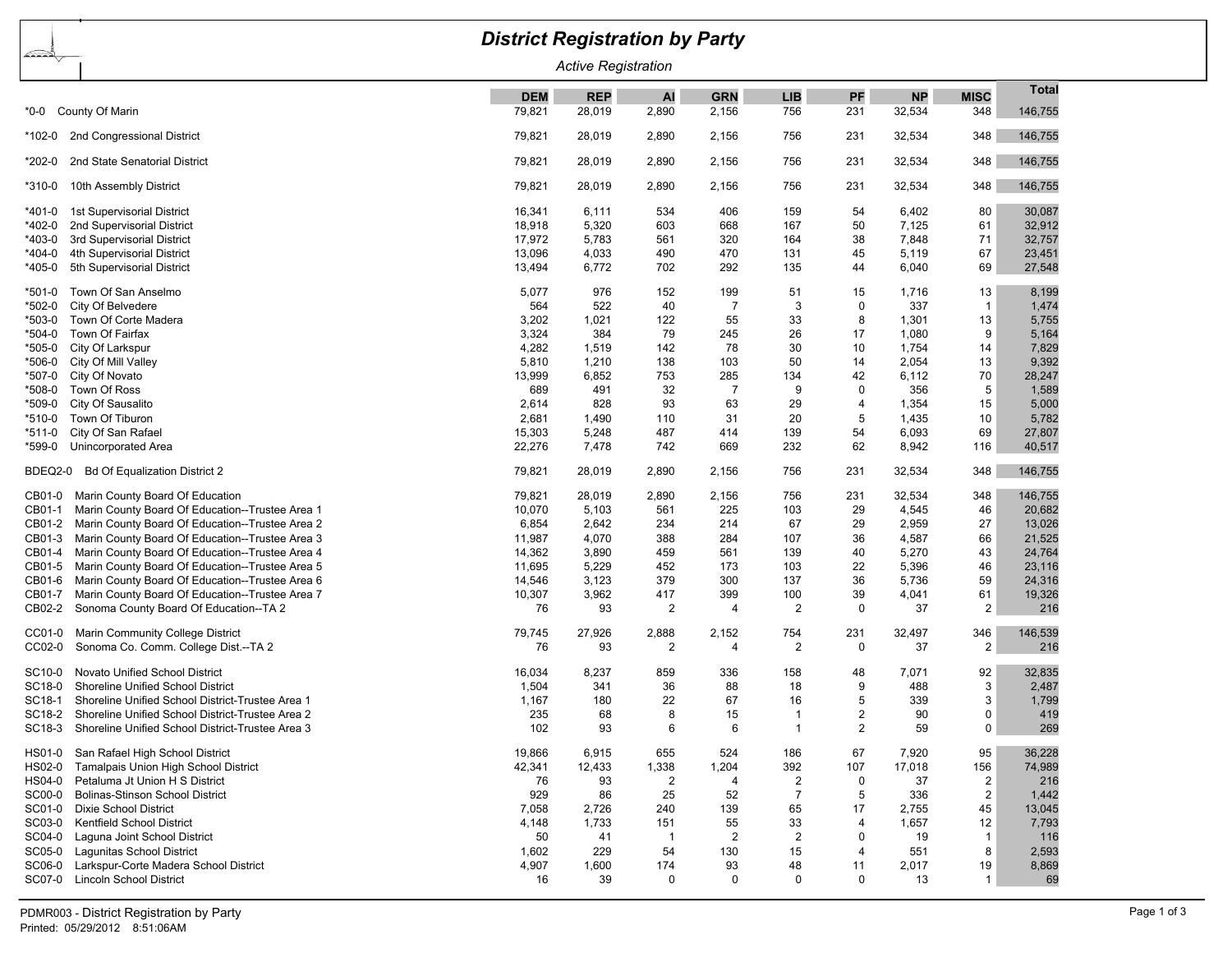## *District Registration by Party* œ *Active Registration* **Total DEM REP AI GRN LIB PF NP MISC** \*0-0 County Of Marin 79,821 28,019 2,890 2,156 756 231 32,534 348 146,755 \*102-0 2nd Congressional District 79,821 28,019 2,890 2,156 756 231 32,534 348 146,755 \*202-0 2nd State Senatorial District 79,821 28,019 2,890 2,156 756 231 32,534 348 146,755 \*310-0 10th Assembly District 79,821 28,019 2,890 2,156 756 231 32,534 348 146,755 \*401-0 1st Supervisorial District 16,341 6,111 534 406 159 54 6,402 80 30,087 \*402-0 2nd Supervisorial District 18,918 5,320 603 668 167 50 7,125 61 32,912 \*403-0 3rd Supervisorial District 17,972 5,783 561 320 164 38 7,848 71 32,757 \*404-0 4th Supervisorial District 13,096 4,033 490 470 131 45 5,119 67 23,451 \*405-0 5th Supervisorial District 13,494 6,772 702 292 135 44 6,040 69 27,548 \*501-0 Town Of San Anselmo 5,077 976 152 199 51 15 1,716 13 8,199 \*502-0 City Of Belvedere 564 522 40 7 3 0 337 1 1,474 \*503-0 Town Of Corte Madera 3,202 1,021 122 55 33 8 1,301 13 5,755 \*504-0 Town Of Fairfax 3,324 384 79 245 26 17 1,080 9 5,164 \*505-0 City Of Larkspur 4,282 1,519 142 78 30 10 1,754 14 7,829 \*506-0 City Of Mill Valley 5,810 1,210 138 103 50 14 2,054 13 9,392 \*507-0 City Of Novato 13,999 6,852 753 285 134 42 6,112 70 28,247 \*508-0 Town Of Ross 689 491 32 7 9 0 356 5 1,589 \*509-0 City Of Sausalito 2,614 828 93 63 29 4 1,354 15 5,000 \*510-0 Town Of Tiburon 2,681 1,490 110 31 20 5 1,435 10 5,782 \*511-0 City Of San Rafael 15,303 5,248 487 414 139 54 6,093 69 27,807 \*599-0 Unincorporated Area 22,276 7,478 742 669 232 62 8,942 116 40,517 BDEQ2-0 Bd Of Equalization District 2 79,821 28,019 2,890 2,156 756 231 32,534 348 146,755 CB01-0 Marin County Board Of Education 79,821 28,019 2,890 2,156 756 231 32,534 348 146,755 CB01-1 Marin County Board Of Education--Trustee Area 1 10,070 5,103 561 225 103 29 4,545 46 20,682 CB01-2 Marin County Board Of Education--Trustee Area 2 6,854 2,642 234 214 67 29 2,959 27 13,026 CB01-3 Marin County Board Of Education--Trustee Area 3 11,987 4,070 388 284 107 36 4,587 66 21,525 CB01-4 Marin County Board Of Education--Trustee Area 4 14,362 3,890 459 561 139 40 5,270 43 24,764 CB01-5 Marin County Board Of Education--Trustee Area 5 11,695 5,229 452 173 103 22 5,396 46 23,116 CB01-6 Marin County Board Of Education--Trustee Area 6 14,546 14,546 3,123 379 300 137 36 5,736 59 24,316 CB01-7 Marin County Board Of Education--Trustee Area 7 10,307 3,962 417 399 100 39 4,041 61 19,326 CB02-2 Sonoma County Board Of Education--TA 2 76 93 2 4 2 0 37 2 216 CC01-0 Marin Community College District 79,745 27,926 2,888 2,152 754 231 32,497 346 146,539 CC02-0 Sonoma Co. Comm. College Dist.--TA 2 76 93 2 4 2 0 37 2 216 SC10-0 Novato Unified School District 16,034 8,237 859 336 158 48 7,071 92 32,835 SC18-0 Shoreline Unified School District 1,504 341 36 88 18 9 488 3 2.487 SC18-1 Shoreline Unified School District-Trustee Area 1 1 1,167 180 22 67 16 5 339 3 1,799 SC18-2 Shoreline Unified School District-Trustee Area 2 235 68 8 15 1 2 90 0 419 SC18-3 Shoreline Unified School District-Trustee Area 3 102 102 93 6 6 1 2 59 0 269 HS01-0 San Rafael High School District 19,866 6,915 655 524 186 67 7,920 95 36,228 HS02-0 Tamalpais Union High School District 42,34 12,341 12,433 1,338 1,204 392 107 17,018 156 74,989 HS04-0 Petaluma Jt Union H S District 76 93 2 4 2 0 37 2 216 SC00-0 Bolinas-Stinson School District 929 86 25 52 7 5 336 2 1,442 SC01-0 Dixie School District 7,058 2,726 240 139 65 17 2,755 45 13,045 SC03-0 Kentfield School District 4,148 1,733 151 55 33 4 1,657 12 7,793 SC04-0 Laguna Joint School District 50 41 1 2 2 0 19 1 116 SC05-0 Lagunitas School District 1,602 229 54 130 15 4 551 8 2,593 SC06-0 Larkspur-Corte Madera School District 4,907 1,600 174 93 48 11 2,017 19 8,869 SC07-0 Lincoln School District 16 0 0 13 1 1 69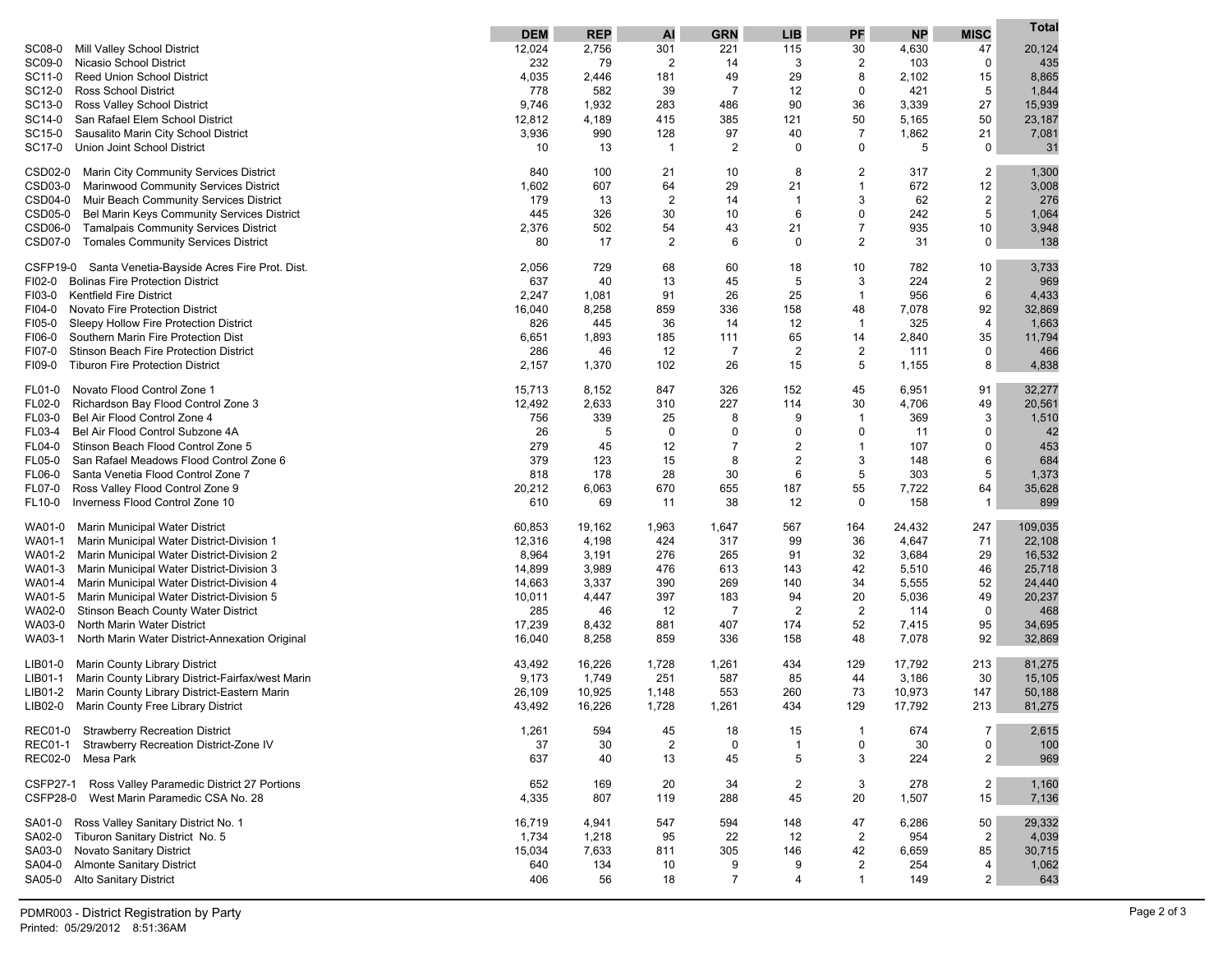|                                                                                         | <b>DEM</b>  | <b>REP</b> | AI                   | <b>GRN</b>     | <b>LIB</b>     | PF                  | <b>NP</b>  | <b>MISC</b>         | Total       |
|-----------------------------------------------------------------------------------------|-------------|------------|----------------------|----------------|----------------|---------------------|------------|---------------------|-------------|
| Mill Valley School District<br>SC08-0                                                   | 12,024      | 2,756      | 301                  | 221            | 115            | 30                  | 4,630      | 47                  | 20,124      |
| SC09-0<br>Nicasio School District                                                       | 232         | 79         | $\overline{2}$       | 14             | 3              | 2                   | 103        | 0                   | 435         |
| <b>Reed Union School District</b><br>SC11-0                                             | 4,035       | 2,446      | 181                  | 49             | 29             | 8                   | 2,102      | 15                  | 8,865       |
| SC12-0<br><b>Ross School District</b>                                                   | 778         | 582        | 39                   | $\overline{7}$ | 12             | 0                   | 421        | 5                   | 1,844       |
| Ross Valley School District<br>SC13-0                                                   | 9,746       | 1,932      | 283                  | 486            | 90             | 36                  | 3,339      | 27                  | 15,939      |
| San Rafael Elem School District<br>SC14-0                                               | 12,812      | 4,189      | 415                  | 385            | 121            | 50                  | 5,165      | 50                  | 23,187      |
| SC15-0<br>Sausalito Marin City School District<br>Union Joint School District<br>SC17-0 | 3,936<br>10 | 990<br>13  | 128<br>$\mathbf{1}$  | 97<br>2        | 40<br>0        | $\overline{7}$<br>0 | 1,862<br>5 | 21<br>0             | 7,081<br>31 |
|                                                                                         |             |            |                      |                |                |                     |            |                     |             |
| CSD02-0<br>Marin City Community Services District                                       | 840         | 100        | 21                   | 10             | 8              | 2                   | 317        | $\overline{2}$      | 1,300       |
| CSD03-0<br>Marinwood Community Services District                                        | 1,602       | 607        | 64                   | 29             | 21             | $\mathbf{1}$        | 672        | 12                  | 3,008       |
| CSD04-0<br>Muir Beach Community Services District                                       | 179         | 13         | $\overline{2}$       | 14             | -1             | 3                   | 62         | $\overline{2}$      | 276         |
| CSD05-0<br>Bel Marin Keys Community Services District                                   | 445         | 326        | 30                   | 10             | 6              | 0                   | 242        | 5                   | 1,064       |
| CSD06-0<br><b>Tamalpais Community Services District</b>                                 | 2,376       | 502        | 54                   | 43             | 21             | $\overline{7}$      | 935        | 10                  | 3,948       |
| <b>CSD07-0</b><br><b>Tomales Community Services District</b>                            | 80          | 17         | 2                    | 6              | $\mathbf 0$    | 2                   | 31         | 0                   | 138         |
| CSFP19-0<br>Santa Venetia-Bayside Acres Fire Prot. Dist.                                | 2,056       | 729        | 68                   | 60             | 18             | 10                  | 782        | 10                  | 3,733       |
| FI02-0<br><b>Bolinas Fire Protection District</b>                                       | 637         | 40         | 13                   | 45             | 5              | 3                   | 224        | $\overline{2}$      | 969         |
| FI03-0<br><b>Kentfield Fire District</b>                                                | 2,247       | 1,081      | 91                   | 26             | 25             | $\mathbf{1}$        | 956        | 6                   | 4,433       |
| FI04-0<br>Novato Fire Protection District                                               | 16,040      | 8,258      | 859                  | 336            | 158            | 48                  | 7,078      | 92                  | 32,869      |
| FI05-0<br>Sleepy Hollow Fire Protection District                                        | 826         | 445        | 36                   | 14             | 12             | $\mathbf{1}$        | 325        | 4                   | 1,663       |
| FI06-0<br>Southern Marin Fire Protection Dist                                           | 6,651       | 1,893      | 185                  | 111            | 65             | 14                  | 2,840      | 35                  | 11,794      |
| FI07-0<br>Stinson Beach Fire Protection District                                        | 286         | 46         | 12                   | $\overline{7}$ | $\overline{2}$ | $\overline{c}$      | 111        | 0                   | 466         |
| <b>Tiburon Fire Protection District</b><br>FI09-0                                       | 2,157       | 1,370      | 102                  | 26             | 15             | 5                   | 1,155      | 8                   | 4,838       |
| Novato Flood Control Zone 1<br>FL01-0                                                   | 15,713      | 8,152      | 847                  | 326            | 152            | 45                  | 6,951      | 91                  | 32,277      |
| Richardson Bay Flood Control Zone 3<br>FL02-0                                           | 12,492      | 2,633      | 310                  | 227            | 114            | 30                  | 4,706      | 49                  | 20,561      |
| Bel Air Flood Control Zone 4<br>FL03-0                                                  | 756         | 339        | 25                   | 8              | 9              | 1                   | 369        | 3                   | 1,510       |
| Bel Air Flood Control Subzone 4A<br>FL03-4                                              | 26          | 5          | 0                    | 0              | $\mathbf 0$    | 0                   | 11         | 0                   | 42          |
| Stinson Beach Flood Control Zone 5<br>FL04-0                                            | 279         | 45         | 12                   | $\overline{7}$ | $\overline{2}$ | 1                   | 107        | $\mathbf 0$         | 453         |
| FL05-0<br>San Rafael Meadows Flood Control Zone 6                                       | 379         | 123        | 15                   | 8              | $\overline{2}$ | 3                   | 148        | 6                   | 684         |
| Santa Venetia Flood Control Zone 7<br>FL06-0                                            | 818         | 178        | 28                   | 30             | 6              | 5                   | 303        | 5                   | 1,373       |
| FL07-0<br>Ross Valley Flood Control Zone 9                                              | 20,212      | 6,063      | 670                  | 655            | 187            | 55                  | 7,722      | 64                  | 35,628      |
| Inverness Flood Control Zone 10<br>FL10-0                                               | 610         | 69         | 11                   | 38             | 12             | 0                   | 158        | $\mathbf{1}$        | 899         |
| WA01-0<br>Marin Municipal Water District                                                | 60,853      | 19,162     | 1,963                | 1,647          | 567            | 164                 | 24,432     | 247                 | 109,035     |
| WA01-1<br>Marin Municipal Water District-Division 1                                     | 12,316      | 4,198      | 424                  | 317            | 99             | 36                  | 4,647      | 71                  | 22,108      |
| WA01-2<br>Marin Municipal Water District-Division 2                                     | 8,964       | 3,191      | 276                  | 265            | 91             | 32                  | 3,684      | 29                  | 16,532      |
| WA01-3<br>Marin Municipal Water District-Division 3                                     | 14,899      | 3,989      | 476                  | 613            | 143            | 42                  | 5,510      | 46                  | 25,718      |
| WA01-4<br>Marin Municipal Water District-Division 4                                     | 14,663      | 3,337      | 390                  | 269            | 140            | 34                  | 5,555      | 52                  | 24,440      |
| WA01-5<br>Marin Municipal Water District-Division 5                                     | 10,011      | 4,447      | 397                  | 183            | 94             | 20                  | 5,036      | 49                  | 20,237      |
| Stinson Beach County Water District<br>WA02-0                                           | 285         | 46         | 12                   | $\overline{7}$ | $\overline{2}$ | $\overline{2}$      | 114        | 0                   | 468         |
| North Marin Water District<br>WA03-0                                                    | 17,239      | 8,432      | 881                  | 407            | 174            | 52                  | 7,415      | 95                  | 34,695      |
| WA03-1<br>North Marin Water District-Annexation Original                                | 16,040      | 8,258      | 859                  | 336            | 158            | 48                  | 7,078      | 92                  | 32,869      |
| Marin County Library District<br>LIB01-0                                                | 43,492      | 16,226     | 1,728                | 1,261          | 434            | 129                 | 17,792     | 213                 | 81,275      |
| Marin County Library District-Fairfax/west Marin<br>LIB01-1                             | 9,173       | 1,749      | 251                  | 587            | 85             | 44                  | 3,186      | 30                  | 15,105      |
| Marin County Library District-Eastern Marin<br>LIB01-2                                  | 26,109      | 10,925     | 1,148                | 553            | 260            | 73                  | 10,973     | 147                 | 50,188      |
| LIB02-0<br>Marin County Free Library District                                           | 43,492      | 16,226     | 1,728                | 1,261          | 434            | 129                 | 17,792     | 213                 | 81,275      |
|                                                                                         |             |            |                      |                |                |                     |            |                     |             |
| <b>Strawberry Recreation District</b><br><b>REC01-0</b><br><b>REC01-1</b>               | 1,261       | 594        | 45<br>$\overline{2}$ | 18<br>0        | 15<br>1        | $\mathbf{1}$<br>0   | 674<br>30  | $\overline{7}$<br>0 | 2,615       |
| Strawberry Recreation District-Zone IV<br><b>REC02-0</b><br>Mesa Park                   | 37<br>637   | 30<br>40   | 13                   | 45             | 5              | 3                   | 224        | $\overline{2}$      | 100<br>969  |
|                                                                                         |             |            |                      |                |                |                     |            |                     |             |
| <b>CSFP27-1</b><br>Ross Valley Paramedic District 27 Portions                           | 652         | 169        | 20                   | 34             | $\overline{2}$ | 3                   | 278        | $\overline{2}$      | 1,160       |
| <b>CSFP28-0</b><br>West Marin Paramedic CSA No. 28                                      | 4,335       | 807        | 119                  | 288            | 45             | 20                  | 1,507      | 15                  | 7,136       |
| Ross Valley Sanitary District No. 1<br>SA01-0                                           | 16,719      | 4,941      | 547                  | 594            | 148            | 47                  | 6,286      | 50                  | 29,332      |
| Tiburon Sanitary District No. 5<br>SA02-0                                               | 1,734       | 1,218      | 95                   | 22             | 12             | $\overline{2}$      | 954        | $\overline{2}$      | 4,039       |
| SA03-0<br>Novato Sanitary District                                                      | 15,034      | 7,633      | 811                  | 305            | 146            | 42                  | 6,659      | 85                  | 30,715      |
| <b>Almonte Sanitary District</b><br>SA04-0                                              | 640         | 134        | 10                   | 9              | 9              | $\overline{c}$      | 254        | 4                   | 1,062       |
| SA05-0<br><b>Alto Sanitary District</b>                                                 | 406         | 56         | 18                   | $\overline{7}$ | 4              | 1                   | 149        | $\overline{2}$      | 643         |
|                                                                                         |             |            |                      |                |                |                     |            |                     |             |